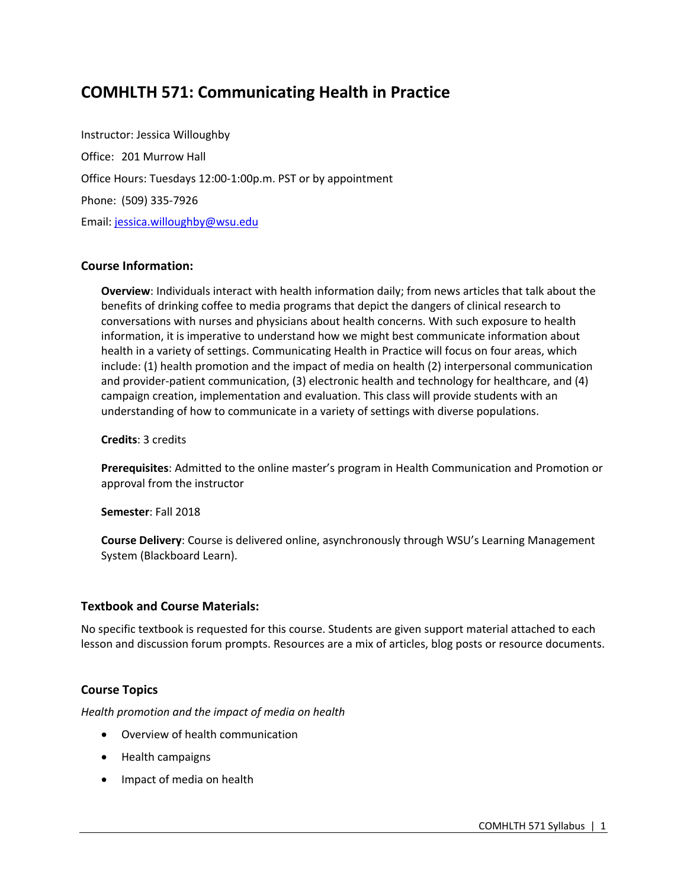# **COMHLTH 571: Communicating Health in Practice**

Instructor: Jessica Willoughby Office: 201 Murrow Hall Office Hours: Tuesdays 12:00-1:00p.m. PST or by appointment Phone: (509) 335-7926 Email: jessica.willoughby@wsu.edu

### **Course Information:**

**Overview**: Individuals interact with health information daily; from news articles that talk about the benefits of drinking coffee to media programs that depict the dangers of clinical research to conversations with nurses and physicians about health concerns. With such exposure to health information, it is imperative to understand how we might best communicate information about health in a variety of settings. Communicating Health in Practice will focus on four areas, which include: (1) health promotion and the impact of media on health (2) interpersonal communication and provider-patient communication, (3) electronic health and technology for healthcare, and (4) campaign creation, implementation and evaluation. This class will provide students with an understanding of how to communicate in a variety of settings with diverse populations.

**Credits**: 3 credits

**Prerequisites**: Admitted to the online master's program in Health Communication and Promotion or approval from the instructor

**Semester**: Fall 2018

**Course Delivery**: Course is delivered online, asynchronously through WSU's Learning Management System (Blackboard Learn).

### **Textbook and Course Materials:**

No specific textbook is requested for this course. Students are given support material attached to each lesson and discussion forum prompts. Resources are a mix of articles, blog posts or resource documents.

# **Course Topics**

*Health promotion and the impact of media on health*

- Overview of health communication
- Health campaigns
- Impact of media on health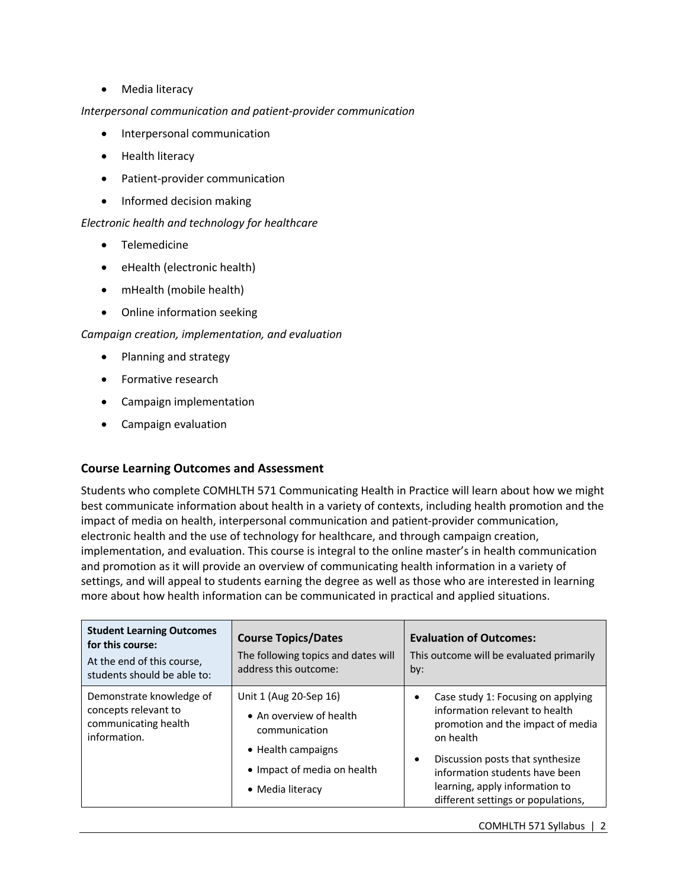• Media literacy

### *Interpersonal communication and patient-provider communication*

- Interpersonal communication
- Health literacy
- Patient-provider communication
- Informed decision making

### *Electronic health and technology for healthcare*

- Telemedicine
- eHealth (electronic health)
- mHealth (mobile health)
- Online information seeking

### *Campaign creation, implementation, and evaluation*

- Planning and strategy
- Formative research
- Campaign implementation
- Campaign evaluation

# **Course Learning Outcomes and Assessment**

Students who complete COMHLTH 571 Communicating Health in Practice will learn about how we might best communicate information about health in a variety of contexts, including health promotion and the impact of media on health, interpersonal communication and patient-provider communication, electronic health and the use of technology for healthcare, and through campaign creation, implementation, and evaluation. This course is integral to the online master's in health communication and promotion as it will provide an overview of communicating health information in a variety of settings, and will appeal to students earning the degree as well as those who are interested in learning more about how health information can be communicated in practical and applied situations.

| <b>Student Learning Outcomes</b><br>for this course:<br>At the end of this course,<br>students should be able to: | <b>Course Topics/Dates</b><br>The following topics and dates will<br>address this outcome:                                                  | <b>Evaluation of Outcomes:</b><br>This outcome will be evaluated primarily<br>by:                                                                                                                                                                                                 |
|-------------------------------------------------------------------------------------------------------------------|---------------------------------------------------------------------------------------------------------------------------------------------|-----------------------------------------------------------------------------------------------------------------------------------------------------------------------------------------------------------------------------------------------------------------------------------|
| Demonstrate knowledge of<br>concepts relevant to<br>communicating health<br>information.                          | Unit 1 (Aug 20-Sep 16)<br>• An overview of health<br>communication<br>• Health campaigns<br>• Impact of media on health<br>• Media literacy | Case study 1: Focusing on applying<br>information relevant to health<br>promotion and the impact of media<br>on health<br>Discussion posts that synthesize<br>$\bullet$<br>information students have been<br>learning, apply information to<br>different settings or populations, |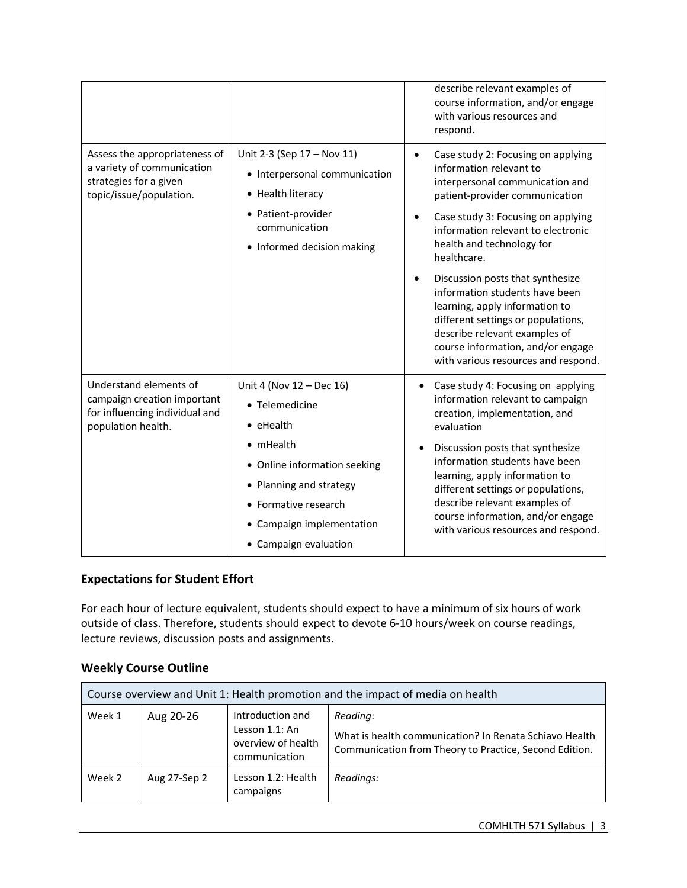|                                                                                                                  |                                                                                                                                                                                                                               | describe relevant examples of<br>course information, and/or engage<br>with various resources and<br>respond.                                                                                                                                                                                                                                                                                                                                                                                                                       |
|------------------------------------------------------------------------------------------------------------------|-------------------------------------------------------------------------------------------------------------------------------------------------------------------------------------------------------------------------------|------------------------------------------------------------------------------------------------------------------------------------------------------------------------------------------------------------------------------------------------------------------------------------------------------------------------------------------------------------------------------------------------------------------------------------------------------------------------------------------------------------------------------------|
| Assess the appropriateness of<br>a variety of communication<br>strategies for a given<br>topic/issue/population. | Unit 2-3 (Sep 17 - Nov 11)<br>• Interpersonal communication<br>• Health literacy<br>• Patient-provider<br>communication<br>• Informed decision making                                                                         | Case study 2: Focusing on applying<br>$\bullet$<br>information relevant to<br>interpersonal communication and<br>patient-provider communication<br>Case study 3: Focusing on applying<br>information relevant to electronic<br>health and technology for<br>healthcare.<br>Discussion posts that synthesize<br>information students have been<br>learning, apply information to<br>different settings or populations,<br>describe relevant examples of<br>course information, and/or engage<br>with various resources and respond. |
| Understand elements of<br>campaign creation important<br>for influencing individual and<br>population health.    | Unit 4 (Nov 12 - Dec 16)<br>• Telemedicine<br>$\bullet$ eHealth<br>$\bullet$ mHealth<br>• Online information seeking<br>• Planning and strategy<br>• Formative research<br>• Campaign implementation<br>• Campaign evaluation | Case study 4: Focusing on applying<br>$\bullet$<br>information relevant to campaign<br>creation, implementation, and<br>evaluation<br>Discussion posts that synthesize<br>$\bullet$<br>information students have been<br>learning, apply information to<br>different settings or populations,<br>describe relevant examples of<br>course information, and/or engage<br>with various resources and respond.                                                                                                                         |

# **Expectations for Student Effort**

For each hour of lecture equivalent, students should expect to have a minimum of six hours of work outside of class. Therefore, students should expect to devote 6-10 hours/week on course readings, lecture reviews, discussion posts and assignments.

# **Weekly Course Outline**

| Course overview and Unit 1: Health promotion and the impact of media on health |              |                                                                           |                                                                                                                              |  |
|--------------------------------------------------------------------------------|--------------|---------------------------------------------------------------------------|------------------------------------------------------------------------------------------------------------------------------|--|
| Week 1                                                                         | Aug 20-26    | Introduction and<br>Lesson 1.1: An<br>overview of health<br>communication | Reading:<br>What is health communication? In Renata Schiavo Health<br>Communication from Theory to Practice, Second Edition. |  |
| Week 2                                                                         | Aug 27-Sep 2 | Lesson 1.2: Health<br>campaigns                                           | Readings:                                                                                                                    |  |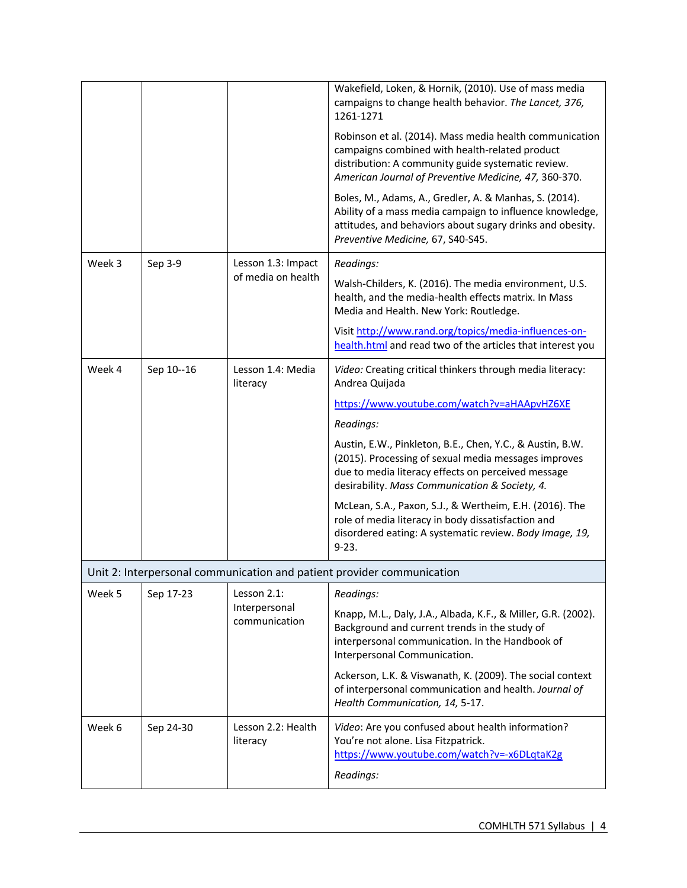|        |            |                                | Wakefield, Loken, & Hornik, (2010). Use of mass media<br>campaigns to change health behavior. The Lancet, 376,<br>1261-1271                                                                                               |
|--------|------------|--------------------------------|---------------------------------------------------------------------------------------------------------------------------------------------------------------------------------------------------------------------------|
|        |            |                                | Robinson et al. (2014). Mass media health communication<br>campaigns combined with health-related product<br>distribution: A community guide systematic review.<br>American Journal of Preventive Medicine, 47, 360-370.  |
|        |            |                                | Boles, M., Adams, A., Gredler, A. & Manhas, S. (2014).<br>Ability of a mass media campaign to influence knowledge,<br>attitudes, and behaviors about sugary drinks and obesity.<br>Preventive Medicine, 67, S40-S45.      |
| Week 3 | Sep 3-9    | Lesson 1.3: Impact             | Readings:                                                                                                                                                                                                                 |
|        |            | of media on health             | Walsh-Childers, K. (2016). The media environment, U.S.<br>health, and the media-health effects matrix. In Mass<br>Media and Health. New York: Routledge.                                                                  |
|        |            |                                | Visit http://www.rand.org/topics/media-influences-on-<br>health.html and read two of the articles that interest you                                                                                                       |
| Week 4 | Sep 10--16 | Lesson 1.4: Media<br>literacy  | Video: Creating critical thinkers through media literacy:<br>Andrea Quijada                                                                                                                                               |
|        |            |                                | https://www.youtube.com/watch?v=aHAApvHZ6XE                                                                                                                                                                               |
|        |            |                                | Readings:                                                                                                                                                                                                                 |
|        |            |                                | Austin, E.W., Pinkleton, B.E., Chen, Y.C., & Austin, B.W.<br>(2015). Processing of sexual media messages improves<br>due to media literacy effects on perceived message<br>desirability. Mass Communication & Society, 4. |
|        |            |                                | McLean, S.A., Paxon, S.J., & Wertheim, E.H. (2016). The<br>role of media literacy in body dissatisfaction and<br>disordered eating: A systematic review. Body Image, 19,<br>$9 - 23.$                                     |
|        |            |                                | Unit 2: Interpersonal communication and patient provider communication                                                                                                                                                    |
| Week 5 | Sep 17-23  | Lesson 2.1:                    | Readings:                                                                                                                                                                                                                 |
|        |            | Interpersonal<br>communication | Knapp, M.L., Daly, J.A., Albada, K.F., & Miller, G.R. (2002).<br>Background and current trends in the study of<br>interpersonal communication. In the Handbook of<br>Interpersonal Communication.                         |
|        |            |                                | Ackerson, L.K. & Viswanath, K. (2009). The social context<br>of interpersonal communication and health. Journal of<br>Health Communication, 14, 5-17.                                                                     |
| Week 6 | Sep 24-30  | Lesson 2.2: Health<br>literacy | Video: Are you confused about health information?<br>You're not alone. Lisa Fitzpatrick.<br>https://www.youtube.com/watch?v=-x6DLqtaK2g<br>Readings:                                                                      |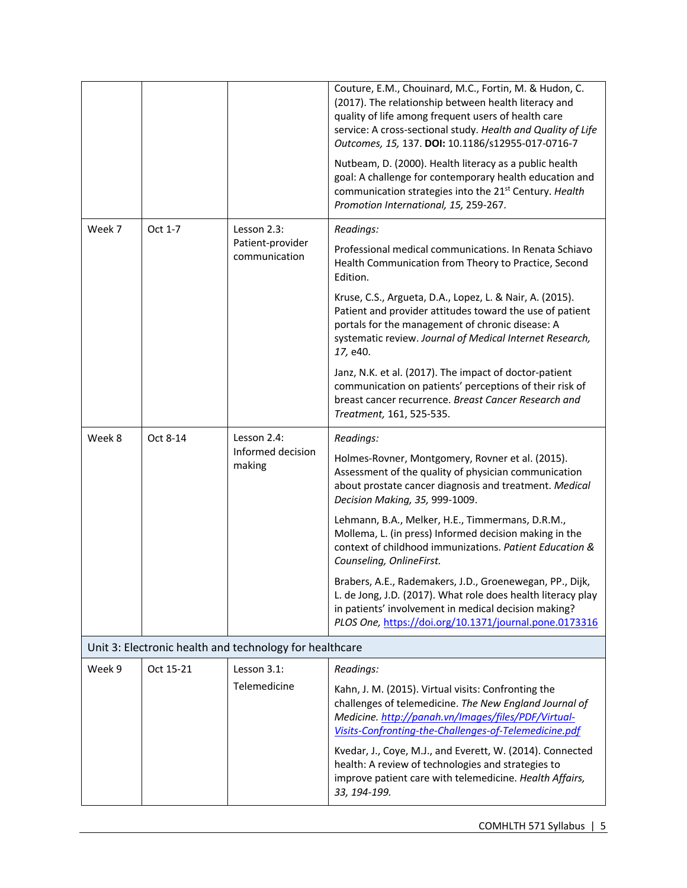|        |           |                                                         | Couture, E.M., Chouinard, M.C., Fortin, M. & Hudon, C.<br>(2017). The relationship between health literacy and<br>quality of life among frequent users of health care<br>service: A cross-sectional study. Health and Quality of Life<br>Outcomes, 15, 137. DOI: 10.1186/s12955-017-0716-7<br>Nutbeam, D. (2000). Health literacy as a public health<br>goal: A challenge for contemporary health education and<br>communication strategies into the 21 <sup>st</sup> Century. Health<br>Promotion International, 15, 259-267. |
|--------|-----------|---------------------------------------------------------|--------------------------------------------------------------------------------------------------------------------------------------------------------------------------------------------------------------------------------------------------------------------------------------------------------------------------------------------------------------------------------------------------------------------------------------------------------------------------------------------------------------------------------|
| Week 7 | Oct 1-7   | Lesson 2.3:                                             | Readings:                                                                                                                                                                                                                                                                                                                                                                                                                                                                                                                      |
|        |           | Patient-provider<br>communication                       | Professional medical communications. In Renata Schiavo<br>Health Communication from Theory to Practice, Second<br>Edition.                                                                                                                                                                                                                                                                                                                                                                                                     |
|        |           |                                                         | Kruse, C.S., Argueta, D.A., Lopez, L. & Nair, A. (2015).<br>Patient and provider attitudes toward the use of patient<br>portals for the management of chronic disease: A<br>systematic review. Journal of Medical Internet Research,<br>17, e40.                                                                                                                                                                                                                                                                               |
|        |           |                                                         | Janz, N.K. et al. (2017). The impact of doctor-patient<br>communication on patients' perceptions of their risk of<br>breast cancer recurrence. Breast Cancer Research and<br>Treatment, 161, 525-535.                                                                                                                                                                                                                                                                                                                          |
| Week 8 | Oct 8-14  | Lesson 2.4:                                             | Readings:                                                                                                                                                                                                                                                                                                                                                                                                                                                                                                                      |
|        |           | Informed decision<br>making                             | Holmes-Rovner, Montgomery, Rovner et al. (2015).<br>Assessment of the quality of physician communication<br>about prostate cancer diagnosis and treatment. Medical<br>Decision Making, 35, 999-1009.                                                                                                                                                                                                                                                                                                                           |
|        |           |                                                         | Lehmann, B.A., Melker, H.E., Timmermans, D.R.M.,<br>Mollema, L. (in press) Informed decision making in the<br>context of childhood immunizations. Patient Education &<br>Counseling, OnlineFirst.                                                                                                                                                                                                                                                                                                                              |
|        |           |                                                         | Brabers, A.E., Rademakers, J.D., Groenewegan, PP., Dijk,<br>L. de Jong, J.D. (2017). What role does health literacy play<br>in patients' involvement in medical decision making?<br>PLOS One, https://doi.org/10.1371/journal.pone.0173316                                                                                                                                                                                                                                                                                     |
|        |           | Unit 3: Electronic health and technology for healthcare |                                                                                                                                                                                                                                                                                                                                                                                                                                                                                                                                |
| Week 9 | Oct 15-21 | Lesson 3.1:                                             | Readings:                                                                                                                                                                                                                                                                                                                                                                                                                                                                                                                      |
|        |           | Telemedicine                                            | Kahn, J. M. (2015). Virtual visits: Confronting the<br>challenges of telemedicine. The New England Journal of<br>Medicine. http://panah.vn/Images/files/PDF/Virtual-<br>Visits-Confronting-the-Challenges-of-Telemedicine.pdf                                                                                                                                                                                                                                                                                                  |
|        |           |                                                         | Kvedar, J., Coye, M.J., and Everett, W. (2014). Connected<br>health: A review of technologies and strategies to<br>improve patient care with telemedicine. Health Affairs,<br>33, 194-199.                                                                                                                                                                                                                                                                                                                                     |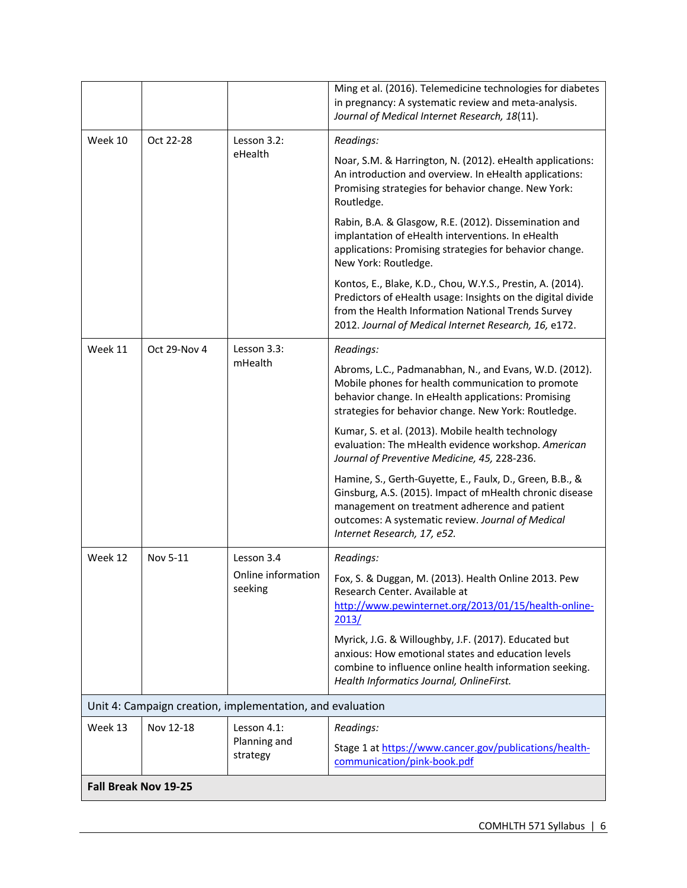|                                                           |              |                               | Ming et al. (2016). Telemedicine technologies for diabetes<br>in pregnancy: A systematic review and meta-analysis.<br>Journal of Medical Internet Research, 18(11).                                                                                       |
|-----------------------------------------------------------|--------------|-------------------------------|-----------------------------------------------------------------------------------------------------------------------------------------------------------------------------------------------------------------------------------------------------------|
| Week 10                                                   | Oct 22-28    | Lesson 3.2:                   | Readings:                                                                                                                                                                                                                                                 |
|                                                           |              | eHealth                       | Noar, S.M. & Harrington, N. (2012). eHealth applications:<br>An introduction and overview. In eHealth applications:<br>Promising strategies for behavior change. New York:<br>Routledge.                                                                  |
|                                                           |              |                               | Rabin, B.A. & Glasgow, R.E. (2012). Dissemination and<br>implantation of eHealth interventions. In eHealth<br>applications: Promising strategies for behavior change.<br>New York: Routledge.                                                             |
|                                                           |              |                               | Kontos, E., Blake, K.D., Chou, W.Y.S., Prestin, A. (2014).<br>Predictors of eHealth usage: Insights on the digital divide<br>from the Health Information National Trends Survey<br>2012. Journal of Medical Internet Research, 16, e172.                  |
| Week 11                                                   | Oct 29-Nov 4 | Lesson 3.3:                   | Readings:                                                                                                                                                                                                                                                 |
|                                                           |              | mHealth                       | Abroms, L.C., Padmanabhan, N., and Evans, W.D. (2012).<br>Mobile phones for health communication to promote<br>behavior change. In eHealth applications: Promising<br>strategies for behavior change. New York: Routledge.                                |
|                                                           |              |                               | Kumar, S. et al. (2013). Mobile health technology<br>evaluation: The mHealth evidence workshop. American<br>Journal of Preventive Medicine, 45, 228-236.                                                                                                  |
|                                                           |              |                               | Hamine, S., Gerth-Guyette, E., Faulx, D., Green, B.B., &<br>Ginsburg, A.S. (2015). Impact of mHealth chronic disease<br>management on treatment adherence and patient<br>outcomes: A systematic review. Journal of Medical<br>Internet Research, 17, e52. |
| Week 12                                                   | Nov 5-11     | Lesson 3.4                    | Readings:                                                                                                                                                                                                                                                 |
|                                                           |              | Online information<br>seeking | Fox, S. & Duggan, M. (2013). Health Online 2013. Pew<br>Research Center. Available at<br>http://www.pewinternet.org/2013/01/15/health-online-<br>2013/                                                                                                    |
|                                                           |              |                               | Myrick, J.G. & Willoughby, J.F. (2017). Educated but<br>anxious: How emotional states and education levels<br>combine to influence online health information seeking.<br>Health Informatics Journal, OnlineFirst.                                         |
| Unit 4: Campaign creation, implementation, and evaluation |              |                               |                                                                                                                                                                                                                                                           |
| Week 13                                                   | Nov 12-18    | Lesson 4.1:                   | Readings:                                                                                                                                                                                                                                                 |
|                                                           |              | Planning and<br>strategy      | Stage 1 at https://www.cancer.gov/publications/health-<br>communication/pink-book.pdf                                                                                                                                                                     |
| Fall Break Nov 19-25                                      |              |                               |                                                                                                                                                                                                                                                           |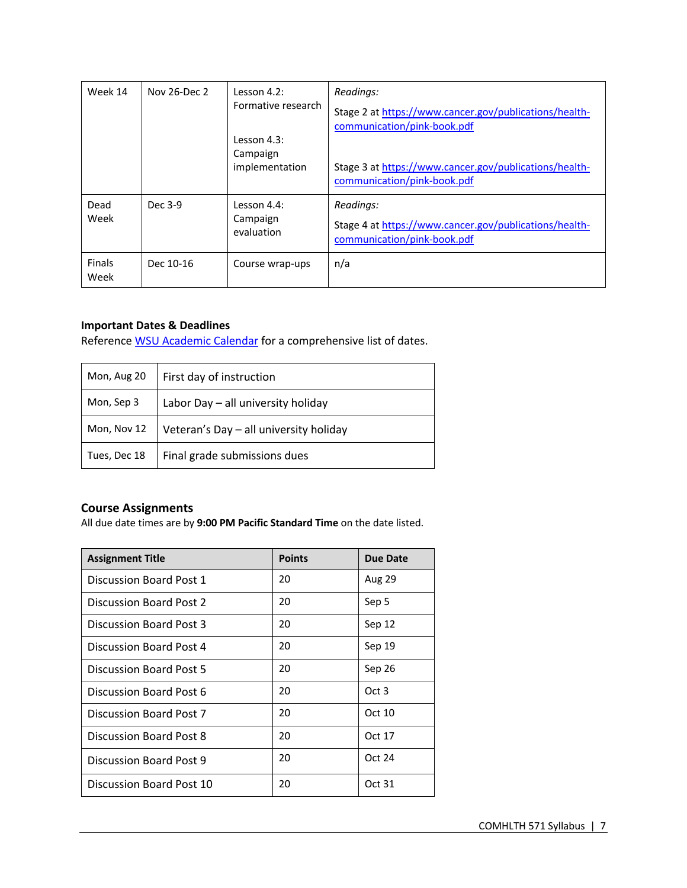| Week 14               | Nov 26-Dec 2 | Lesson $4.2$ :<br>Formative research<br>Lesson $4.3$ :<br>Campaign<br>implementation | Readings:<br>Stage 2 at https://www.cancer.gov/publications/health-<br>communication/pink-book.pdf<br>Stage 3 at https://www.cancer.gov/publications/health-<br>communication/pink-book.pdf |
|-----------------------|--------------|--------------------------------------------------------------------------------------|---------------------------------------------------------------------------------------------------------------------------------------------------------------------------------------------|
| Dead<br>Week          | Dec 3-9      | Lesson 4.4:<br>Campaign<br>evaluation                                                | Readings:<br>Stage 4 at https://www.cancer.gov/publications/health-<br>communication/pink-book.pdf                                                                                          |
| <b>Finals</b><br>Week | Dec 10-16    | Course wrap-ups                                                                      | n/a                                                                                                                                                                                         |

### **Important Dates & Deadlines**

Reference WSU Academic Calendar for a comprehensive list of dates.

| Mon, Aug 20  | First day of instruction               |
|--------------|----------------------------------------|
| Mon, Sep 3   | Labor Day - all university holiday     |
| Mon, Nov 12  | Veteran's Day - all university holiday |
| Tues, Dec 18 | Final grade submissions dues           |

# **Course Assignments**

All due date times are by **9:00 PM Pacific Standard Time** on the date listed.

| <b>Assignment Title</b>  | <b>Points</b> | Due Date |
|--------------------------|---------------|----------|
| Discussion Board Post 1  | 20            | Aug 29   |
| Discussion Board Post 2  | 20            | Sep 5    |
| Discussion Board Post 3  | 20            | Sep 12   |
| Discussion Board Post 4  | 20            | Sep 19   |
| Discussion Board Post 5  | 20            | Sep 26   |
| Discussion Board Post 6  | 20            | Oct 3    |
| Discussion Board Post 7  | 20            | Oct 10   |
| Discussion Board Post 8  | 20            | Oct 17   |
| Discussion Board Post 9  | 20            | Oct 24   |
| Discussion Board Post 10 | 20            | Oct 31   |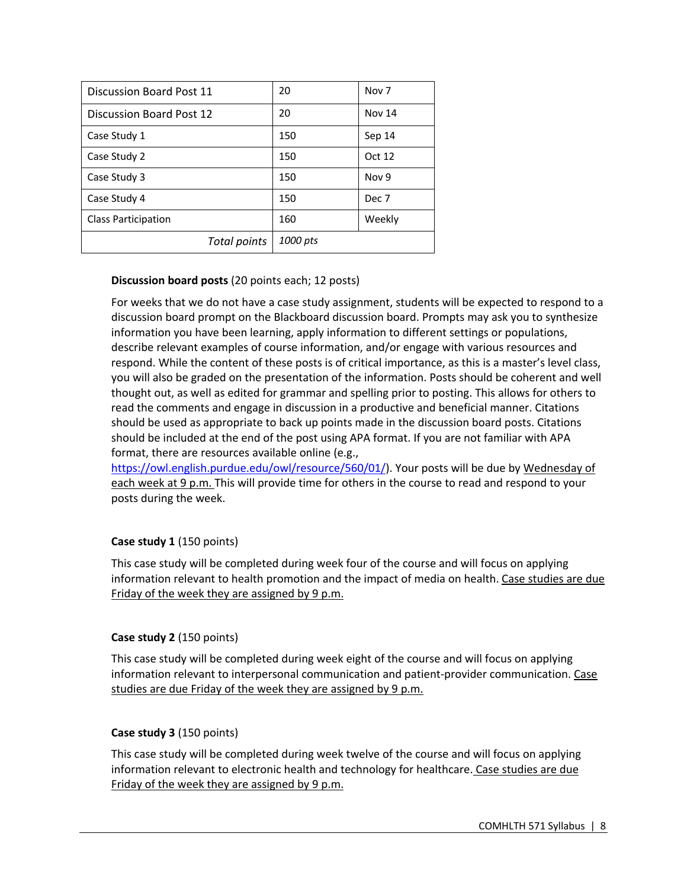| Discussion Board Post 11   | 20       | Nov <sub>7</sub> |
|----------------------------|----------|------------------|
| Discussion Board Post 12   | 20       | Nov 14           |
| Case Study 1               | 150      | Sep 14           |
| Case Study 2               | 150      | Oct 12           |
| Case Study 3               | 150      | Nov 9            |
| Case Study 4               | 150      | Dec 7            |
| <b>Class Participation</b> | 160      | Weekly           |
| Total points               | 1000 pts |                  |

# **Discussion board posts** (20 points each; 12 posts)

For weeks that we do not have a case study assignment, students will be expected to respond to a discussion board prompt on the Blackboard discussion board. Prompts may ask you to synthesize information you have been learning, apply information to different settings or populations, describe relevant examples of course information, and/or engage with various resources and respond. While the content of these posts is of critical importance, as this is a master's level class, you will also be graded on the presentation of the information. Posts should be coherent and well thought out, as well as edited for grammar and spelling prior to posting. This allows for others to read the comments and engage in discussion in a productive and beneficial manner. Citations should be used as appropriate to back up points made in the discussion board posts. Citations should be included at the end of the post using APA format. If you are not familiar with APA format, there are resources available online (e.g.,

https://owl.english.purdue.edu/owl/resource/560/01/). Your posts will be due by Wednesday of each week at 9 p.m. This will provide time for others in the course to read and respond to your posts during the week.

### **Case study 1** (150 points)

This case study will be completed during week four of the course and will focus on applying information relevant to health promotion and the impact of media on health. Case studies are due Friday of the week they are assigned by 9 p.m.

### **Case study 2** (150 points)

This case study will be completed during week eight of the course and will focus on applying information relevant to interpersonal communication and patient-provider communication. Case studies are due Friday of the week they are assigned by 9 p.m.

### **Case study 3** (150 points)

This case study will be completed during week twelve of the course and will focus on applying information relevant to electronic health and technology for healthcare. Case studies are due Friday of the week they are assigned by 9 p.m.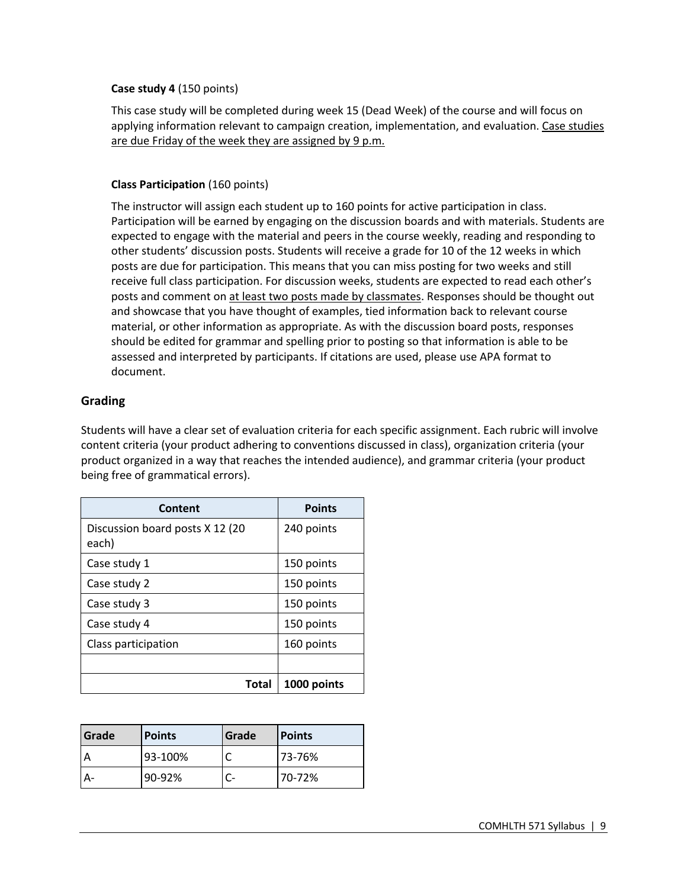### **Case study 4** (150 points)

This case study will be completed during week 15 (Dead Week) of the course and will focus on applying information relevant to campaign creation, implementation, and evaluation. Case studies are due Friday of the week they are assigned by 9 p.m.

# **Class Participation** (160 points)

The instructor will assign each student up to 160 points for active participation in class. Participation will be earned by engaging on the discussion boards and with materials. Students are expected to engage with the material and peers in the course weekly, reading and responding to other students' discussion posts. Students will receive a grade for 10 of the 12 weeks in which posts are due for participation. This means that you can miss posting for two weeks and still receive full class participation. For discussion weeks, students are expected to read each other's posts and comment on at least two posts made by classmates. Responses should be thought out and showcase that you have thought of examples, tied information back to relevant course material, or other information as appropriate. As with the discussion board posts, responses should be edited for grammar and spelling prior to posting so that information is able to be assessed and interpreted by participants. If citations are used, please use APA format to document.

# **Grading**

Students will have a clear set of evaluation criteria for each specific assignment. Each rubric will involve content criteria (your product adhering to conventions discussed in class), organization criteria (your product organized in a way that reaches the intended audience), and grammar criteria (your product being free of grammatical errors).

| Content                                  | <b>Points</b> |
|------------------------------------------|---------------|
| Discussion board posts X 12 (20<br>each) | 240 points    |
| Case study 1                             | 150 points    |
| Case study 2                             | 150 points    |
| Case study 3                             | 150 points    |
| Case study 4                             | 150 points    |
| Class participation                      | 160 points    |
|                                          |               |
| Total                                    | 1000 points   |

| <b>Grade</b> | <b>Points</b> | Grade | <b>Points</b> |
|--------------|---------------|-------|---------------|
|              | 93-100%       |       | 73-76%        |
|              | 90-92%        |       | 70-72%        |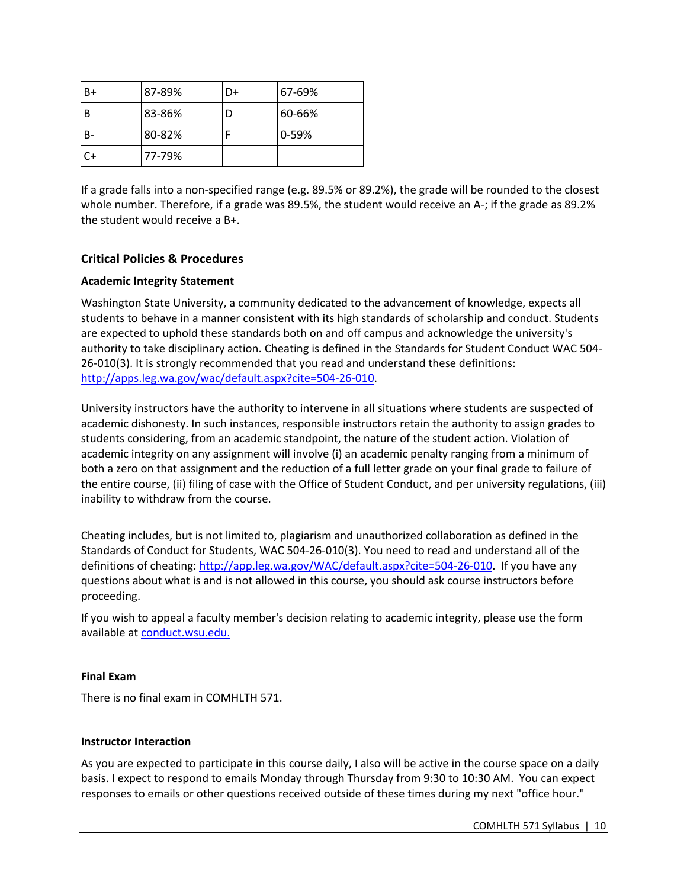| B+ | 87-89% | D+ | 67-69%    |
|----|--------|----|-----------|
| B  | 83-86% |    | 60-66%    |
|    | 80-82% |    | $0 - 59%$ |
| C+ | 77-79% |    |           |

If a grade falls into a non-specified range (e.g. 89.5% or 89.2%), the grade will be rounded to the closest whole number. Therefore, if a grade was 89.5%, the student would receive an A-; if the grade as 89.2% the student would receive a B+.

# **Critical Policies & Procedures**

### **Academic Integrity Statement**

Washington State University, a community dedicated to the advancement of knowledge, expects all students to behave in a manner consistent with its high standards of scholarship and conduct. Students are expected to uphold these standards both on and off campus and acknowledge the university's authority to take disciplinary action. Cheating is defined in the Standards for Student Conduct WAC 504- 26-010(3). It is strongly recommended that you read and understand these definitions: http://apps.leg.wa.gov/wac/default.aspx?cite=504-26-010.

University instructors have the authority to intervene in all situations where students are suspected of academic dishonesty. In such instances, responsible instructors retain the authority to assign grades to students considering, from an academic standpoint, the nature of the student action. Violation of academic integrity on any assignment will involve (i) an academic penalty ranging from a minimum of both a zero on that assignment and the reduction of a full letter grade on your final grade to failure of the entire course, (ii) filing of case with the Office of Student Conduct, and per university regulations, (iii) inability to withdraw from the course.

Cheating includes, but is not limited to, plagiarism and unauthorized collaboration as defined in the Standards of Conduct for Students, WAC 504-26-010(3). You need to read and understand all of the definitions of cheating: http://app.leg.wa.gov/WAC/default.aspx?cite=504-26-010. If you have any questions about what is and is not allowed in this course, you should ask course instructors before proceeding.

If you wish to appeal a faculty member's decision relating to academic integrity, please use the form available at conduct.wsu.edu.

### **Final Exam**

There is no final exam in COMHLTH 571.

### **Instructor Interaction**

As you are expected to participate in this course daily, I also will be active in the course space on a daily basis. I expect to respond to emails Monday through Thursday from 9:30 to 10:30 AM. You can expect responses to emails or other questions received outside of these times during my next "office hour."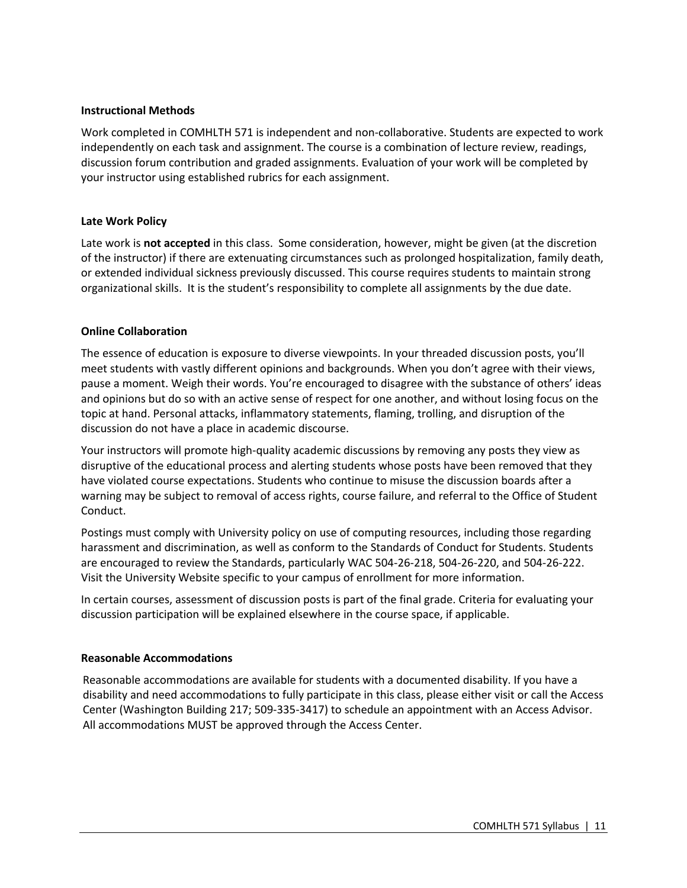#### **Instructional Methods**

Work completed in COMHLTH 571 is independent and non-collaborative. Students are expected to work independently on each task and assignment. The course is a combination of lecture review, readings, discussion forum contribution and graded assignments. Evaluation of your work will be completed by your instructor using established rubrics for each assignment.

#### **Late Work Policy**

Late work is **not accepted** in this class.Some consideration, however, might be given (at the discretion of the instructor) if there are extenuating circumstances such as prolonged hospitalization, family death, or extended individual sickness previously discussed. This course requires students to maintain strong organizational skills. It is the student's responsibility to complete all assignments by the due date.

#### **Online Collaboration**

The essence of education is exposure to diverse viewpoints. In your threaded discussion posts, you'll meet students with vastly different opinions and backgrounds. When you don't agree with their views, pause a moment. Weigh their words. You're encouraged to disagree with the substance of others' ideas and opinions but do so with an active sense of respect for one another, and without losing focus on the topic at hand. Personal attacks, inflammatory statements, flaming, trolling, and disruption of the discussion do not have a place in academic discourse.

Your instructors will promote high-quality academic discussions by removing any posts they view as disruptive of the educational process and alerting students whose posts have been removed that they have violated course expectations. Students who continue to misuse the discussion boards after a warning may be subject to removal of access rights, course failure, and referral to the Office of Student Conduct.

Postings must comply with University policy on use of computing resources, including those regarding harassment and discrimination, as well as conform to the Standards of Conduct for Students. Students are encouraged to review the Standards, particularly WAC 504-26-218, 504-26-220, and 504-26-222. Visit the University Website specific to your campus of enrollment for more information.

In certain courses, assessment of discussion posts is part of the final grade. Criteria for evaluating your discussion participation will be explained elsewhere in the course space, if applicable.

#### **Reasonable Accommodations**

Reasonable accommodations are available for students with a documented disability. If you have a disability and need accommodations to fully participate in this class, please either visit or call the Access Center (Washington Building 217; 509-335-3417) to schedule an appointment with an Access Advisor. All accommodations MUST be approved through the Access Center.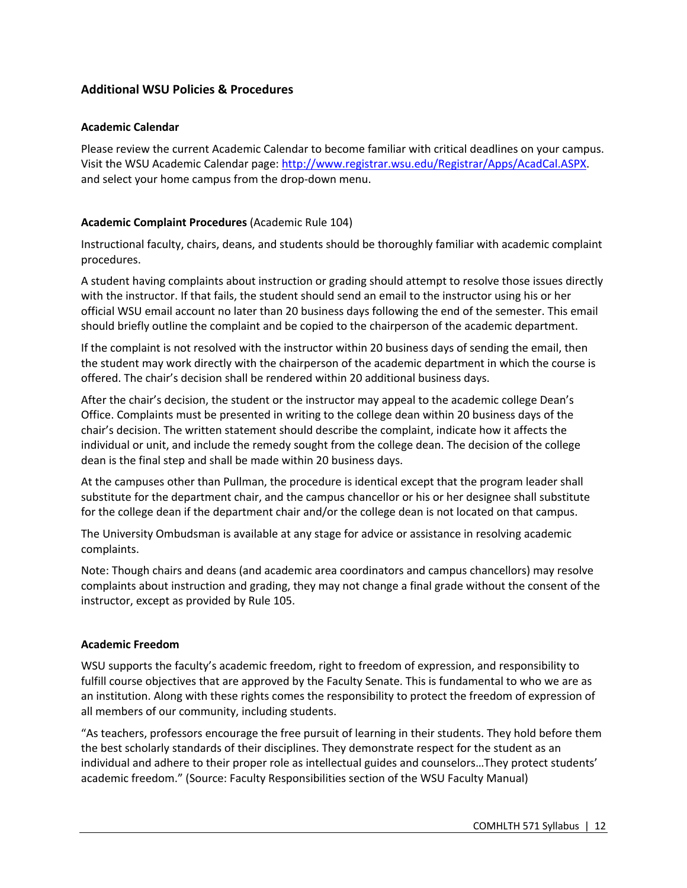# **Additional WSU Policies & Procedures**

### **Academic Calendar**

Please review the current Academic Calendar to become familiar with critical deadlines on your campus. Visit the WSU Academic Calendar page: http://www.registrar.wsu.edu/Registrar/Apps/AcadCal.ASPX. and select your home campus from the drop-down menu.

### **Academic Complaint Procedures** (Academic Rule 104)

Instructional faculty, chairs, deans, and students should be thoroughly familiar with academic complaint procedures.

A student having complaints about instruction or grading should attempt to resolve those issues directly with the instructor. If that fails, the student should send an email to the instructor using his or her official WSU email account no later than 20 business days following the end of the semester. This email should briefly outline the complaint and be copied to the chairperson of the academic department.

If the complaint is not resolved with the instructor within 20 business days of sending the email, then the student may work directly with the chairperson of the academic department in which the course is offered. The chair's decision shall be rendered within 20 additional business days.

After the chair's decision, the student or the instructor may appeal to the academic college Dean's Office. Complaints must be presented in writing to the college dean within 20 business days of the chair's decision. The written statement should describe the complaint, indicate how it affects the individual or unit, and include the remedy sought from the college dean. The decision of the college dean is the final step and shall be made within 20 business days.

At the campuses other than Pullman, the procedure is identical except that the program leader shall substitute for the department chair, and the campus chancellor or his or her designee shall substitute for the college dean if the department chair and/or the college dean is not located on that campus.

The University Ombudsman is available at any stage for advice or assistance in resolving academic complaints.

Note: Though chairs and deans (and academic area coordinators and campus chancellors) may resolve complaints about instruction and grading, they may not change a final grade without the consent of the instructor, except as provided by Rule 105.

### **Academic Freedom**

WSU supports the faculty's academic freedom, right to freedom of expression, and responsibility to fulfill course objectives that are approved by the Faculty Senate. This is fundamental to who we are as an institution. Along with these rights comes the responsibility to protect the freedom of expression of all members of our community, including students.

"As teachers, professors encourage the free pursuit of learning in their students. They hold before them the best scholarly standards of their disciplines. They demonstrate respect for the student as an individual and adhere to their proper role as intellectual guides and counselors…They protect students' academic freedom." (Source: Faculty Responsibilities section of the WSU Faculty Manual)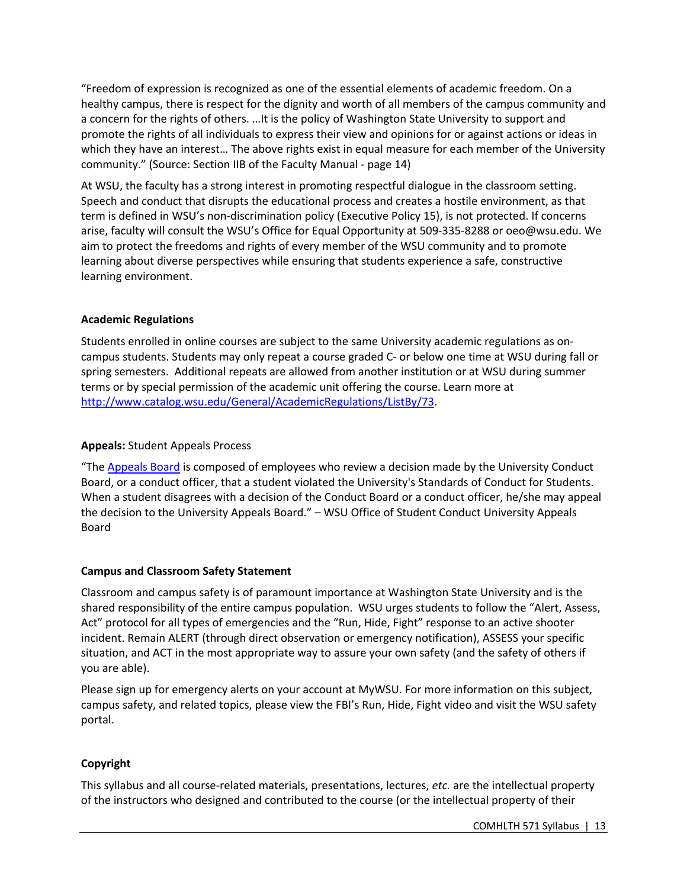"Freedom of expression is recognized as one of the essential elements of academic freedom. On a healthy campus, there is respect for the dignity and worth of all members of the campus community and a concern for the rights of others. …It is the policy of Washington State University to support and promote the rights of all individuals to express their view and opinions for or against actions or ideas in which they have an interest… The above rights exist in equal measure for each member of the University community." (Source: Section IIB of the Faculty Manual - page 14)

At WSU, the faculty has a strong interest in promoting respectful dialogue in the classroom setting. Speech and conduct that disrupts the educational process and creates a hostile environment, as that term is defined in WSU's non-discrimination policy (Executive Policy 15), is not protected. If concerns arise, faculty will consult the WSU's Office for Equal Opportunity at 509-335-8288 or oeo@wsu.edu. We aim to protect the freedoms and rights of every member of the WSU community and to promote learning about diverse perspectives while ensuring that students experience a safe, constructive learning environment.

### **Academic Regulations**

Students enrolled in online courses are subject to the same University academic regulations as oncampus students. Students may only repeat a course graded C- or below one time at WSU during fall or spring semesters. Additional repeats are allowed from another institution or at WSU during summer terms or by special permission of the academic unit offering the course. Learn more at http://www.catalog.wsu.edu/General/AcademicRegulations/ListBy/73.

### **Appeals:** Student Appeals Process

"The Appeals Board is composed of employees who review a decision made by the University Conduct Board, or a conduct officer, that a student violated the University's Standards of Conduct for Students. When a student disagrees with a decision of the Conduct Board or a conduct officer, he/she may appeal the decision to the University Appeals Board." – WSU Office of Student Conduct University Appeals Board

# **Campus and Classroom Safety Statement**

Classroom and campus safety is of paramount importance at Washington State University and is the shared responsibility of the entire campus population. WSU urges students to follow the "Alert, Assess, Act" protocol for all types of emergencies and the "Run, Hide, Fight" response to an active shooter incident. Remain ALERT (through direct observation or emergency notification), ASSESS your specific situation, and ACT in the most appropriate way to assure your own safety (and the safety of others if you are able).

Please sign up for emergency alerts on your account at MyWSU. For more information on this subject, campus safety, and related topics, please view the FBI's Run, Hide, Fight video and visit the WSU safety portal.

# **Copyright**

This syllabus and all course-related materials, presentations, lectures, *etc.* are the intellectual property of the instructors who designed and contributed to the course (or the intellectual property of their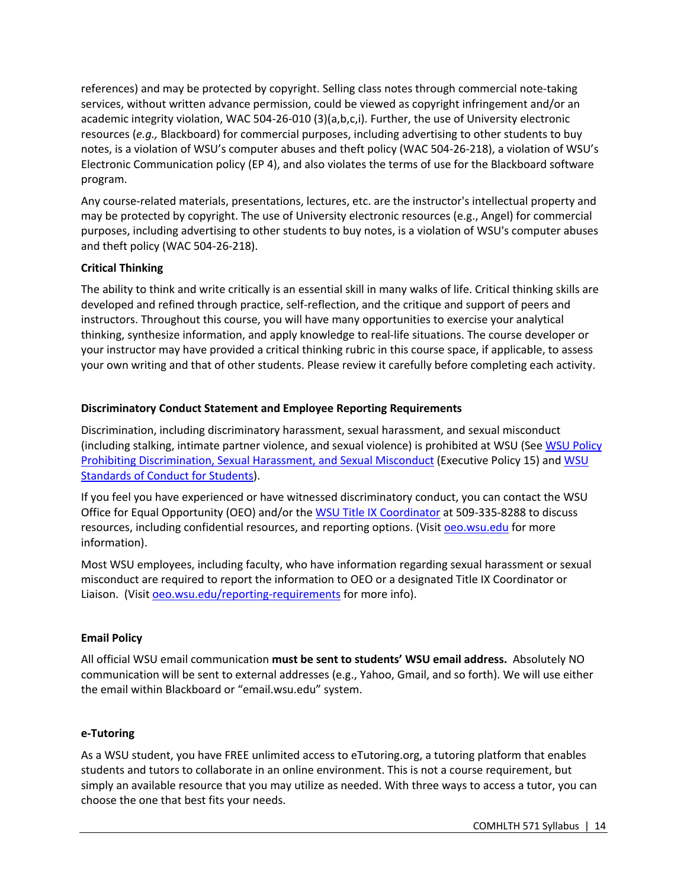references) and may be protected by copyright. Selling class notes through commercial note-taking services, without written advance permission, could be viewed as copyright infringement and/or an academic integrity violation, WAC 504-26-010 (3)(a,b,c,i). Further, the use of University electronic resources (*e.g.,* Blackboard) for commercial purposes, including advertising to other students to buy notes, is a violation of WSU's computer abuses and theft policy (WAC 504-26-218), a violation of WSU's Electronic Communication policy (EP 4), and also violates the terms of use for the Blackboard software program.

Any course-related materials, presentations, lectures, etc. are the instructor's intellectual property and may be protected by copyright. The use of University electronic resources (e.g., Angel) for commercial purposes, including advertising to other students to buy notes, is a violation of WSU's computer abuses and theft policy (WAC 504-26-218).

# **Critical Thinking**

The ability to think and write critically is an essential skill in many walks of life. Critical thinking skills are developed and refined through practice, self-reflection, and the critique and support of peers and instructors. Throughout this course, you will have many opportunities to exercise your analytical thinking, synthesize information, and apply knowledge to real-life situations. The course developer or your instructor may have provided a critical thinking rubric in this course space, if applicable, to assess your own writing and that of other students. Please review it carefully before completing each activity.

# **Discriminatory Conduct Statement and Employee Reporting Requirements**

Discrimination, including discriminatory harassment, sexual harassment, and sexual misconduct (including stalking, intimate partner violence, and sexual violence) is prohibited at WSU (See WSU Policy Prohibiting Discrimination, Sexual Harassment, and Sexual Misconduct (Executive Policy 15) and WSU Standards of Conduct for Students).

If you feel you have experienced or have witnessed discriminatory conduct, you can contact the WSU Office for Equal Opportunity (OEO) and/or the WSU Title IX Coordinator at 509-335-8288 to discuss resources, including confidential resources, and reporting options. (Visit oeo.wsu.edu for more information).

Most WSU employees, including faculty, who have information regarding sexual harassment or sexual misconduct are required to report the information to OEO or a designated Title IX Coordinator or Liaison. (Visit oeo.wsu.edu/reporting-requirements for more info).

# **Email Policy**

All official WSU email communication **must be sent to students' WSU email address.** Absolutely NO communication will be sent to external addresses (e.g., Yahoo, Gmail, and so forth). We will use either the email within Blackboard or "email.wsu.edu" system.

# **e-Tutoring**

As a WSU student, you have FREE unlimited access to eTutoring.org, a tutoring platform that enables students and tutors to collaborate in an online environment. This is not a course requirement, but simply an available resource that you may utilize as needed. With three ways to access a tutor, you can choose the one that best fits your needs.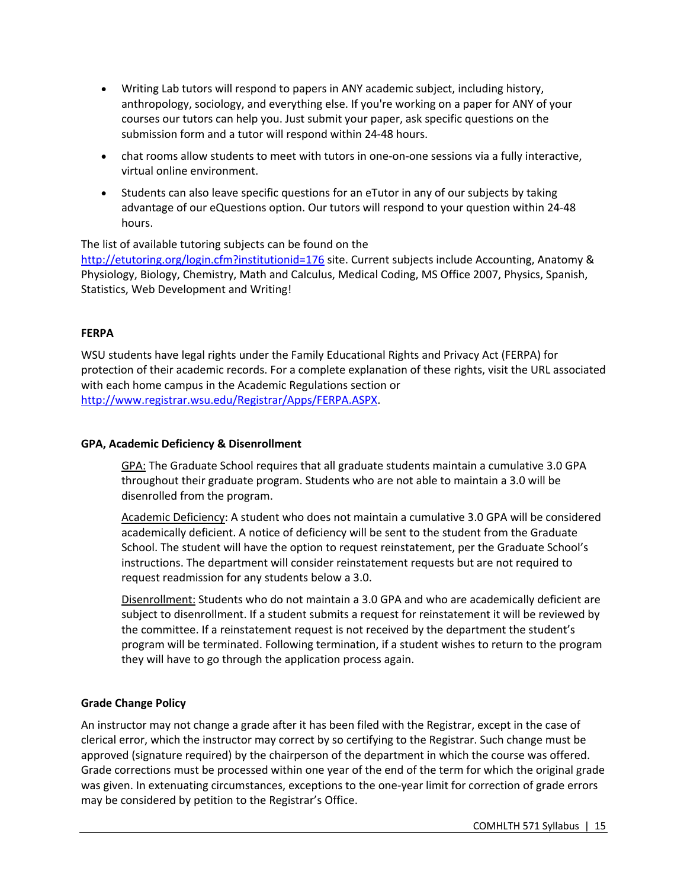- Writing Lab tutors will respond to papers in ANY academic subject, including history, anthropology, sociology, and everything else. If you're working on a paper for ANY of your courses our tutors can help you. Just submit your paper, ask specific questions on the submission form and a tutor will respond within 24-48 hours.
- chat rooms allow students to meet with tutors in one-on-one sessions via a fully interactive, virtual online environment.
- Students can also leave specific questions for an eTutor in any of our subjects by taking advantage of our eQuestions option. Our tutors will respond to your question within 24-48 hours.

The list of available tutoring subjects can be found on the http://etutoring.org/login.cfm?institutionid=176 site. Current subjects include Accounting, Anatomy & Physiology, Biology, Chemistry, Math and Calculus, Medical Coding, MS Office 2007, Physics, Spanish, Statistics, Web Development and Writing!

# **FERPA**

WSU students have legal rights under the Family Educational Rights and Privacy Act (FERPA) for protection of their academic records. For a complete explanation of these rights, visit the URL associated with each home campus in the Academic Regulations section or http://www.registrar.wsu.edu/Registrar/Apps/FERPA.ASPX.

### **GPA, Academic Deficiency & Disenrollment**

GPA: The Graduate School requires that all graduate students maintain a cumulative 3.0 GPA throughout their graduate program. Students who are not able to maintain a 3.0 will be disenrolled from the program.

Academic Deficiency: A student who does not maintain a cumulative 3.0 GPA will be considered academically deficient. A notice of deficiency will be sent to the student from the Graduate School. The student will have the option to request reinstatement, per the Graduate School's instructions. The department will consider reinstatement requests but are not required to request readmission for any students below a 3.0.

Disenrollment: Students who do not maintain a 3.0 GPA and who are academically deficient are subject to disenrollment. If a student submits a request for reinstatement it will be reviewed by the committee. If a reinstatement request is not received by the department the student's program will be terminated. Following termination, if a student wishes to return to the program they will have to go through the application process again.

# **Grade Change Policy**

An instructor may not change a grade after it has been filed with the Registrar, except in the case of clerical error, which the instructor may correct by so certifying to the Registrar. Such change must be approved (signature required) by the chairperson of the department in which the course was offered. Grade corrections must be processed within one year of the end of the term for which the original grade was given. In extenuating circumstances, exceptions to the one-year limit for correction of grade errors may be considered by petition to the Registrar's Office.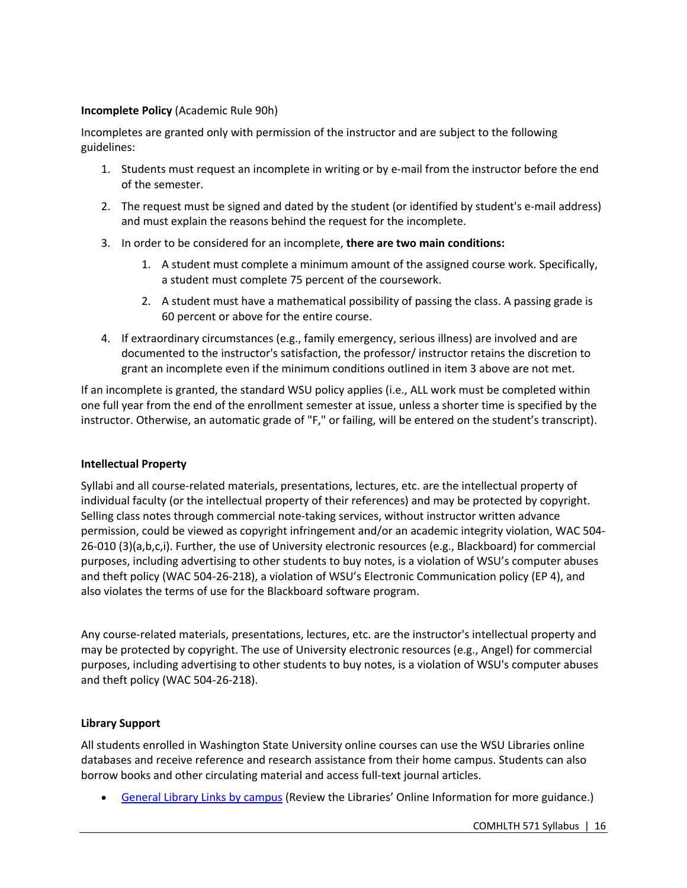### **Incomplete Policy** (Academic Rule 90h)

Incompletes are granted only with permission of the instructor and are subject to the following guidelines:

- 1. Students must request an incomplete in writing or by e-mail from the instructor before the end of the semester.
- 2. The request must be signed and dated by the student (or identified by student's e-mail address) and must explain the reasons behind the request for the incomplete.
- 3. In order to be considered for an incomplete, **there are two main conditions:**
	- 1. A student must complete a minimum amount of the assigned course work. Specifically, a student must complete 75 percent of the coursework.
	- 2. A student must have a mathematical possibility of passing the class. A passing grade is 60 percent or above for the entire course.
- 4. If extraordinary circumstances (e.g., family emergency, serious illness) are involved and are documented to the instructor's satisfaction, the professor/ instructor retains the discretion to grant an incomplete even if the minimum conditions outlined in item 3 above are not met.

If an incomplete is granted, the standard WSU policy applies (i.e., ALL work must be completed within one full year from the end of the enrollment semester at issue, unless a shorter time is specified by the instructor. Otherwise, an automatic grade of "F," or failing, will be entered on the student's transcript).

### **Intellectual Property**

Syllabi and all course-related materials, presentations, lectures, etc. are the intellectual property of individual faculty (or the intellectual property of their references) and may be protected by copyright. Selling class notes through commercial note-taking services, without instructor written advance permission, could be viewed as copyright infringement and/or an academic integrity violation, WAC 504- 26-010 (3)(a,b,c,i). Further, the use of University electronic resources (e.g., Blackboard) for commercial purposes, including advertising to other students to buy notes, is a violation of WSU's computer abuses and theft policy (WAC 504-26-218), a violation of WSU's Electronic Communication policy (EP 4), and also violates the terms of use for the Blackboard software program.

Any course-related materials, presentations, lectures, etc. are the instructor's intellectual property and may be protected by copyright. The use of University electronic resources (e.g., Angel) for commercial purposes, including advertising to other students to buy notes, is a violation of WSU's computer abuses and theft policy (WAC 504-26-218).

### **Library Support**

All students enrolled in Washington State University online courses can use the WSU Libraries online databases and receive reference and research assistance from their home campus. Students can also borrow books and other circulating material and access full-text journal articles.

• General Library Links by campus (Review the Libraries' Online Information for more guidance.)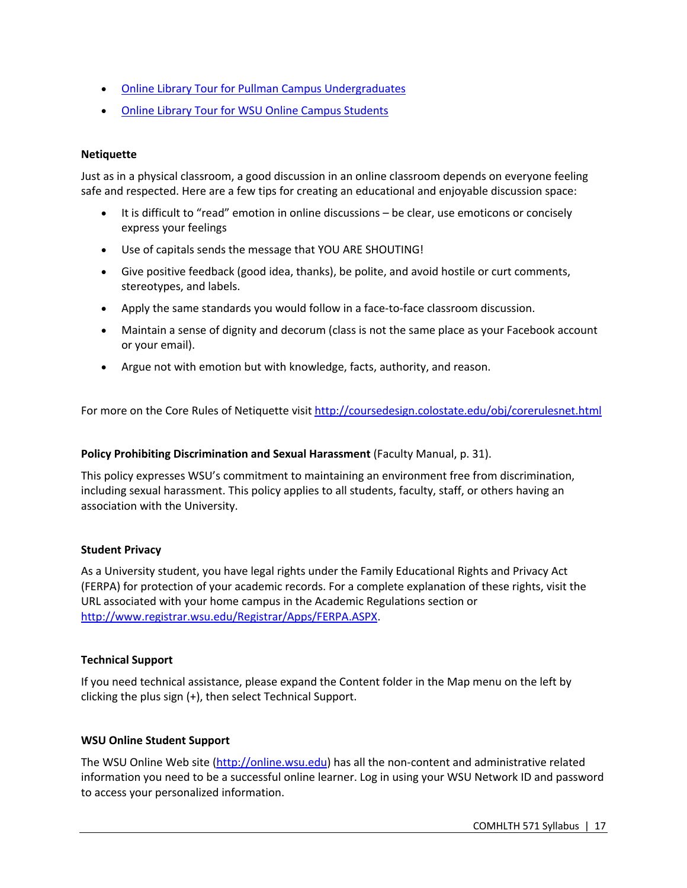- Online Library Tour for Pullman Campus Undergraduates
- Online Library Tour for WSU Online Campus Students

### **Netiquette**

Just as in a physical classroom, a good discussion in an online classroom depends on everyone feeling safe and respected. Here are a few tips for creating an educational and enjoyable discussion space:

- It is difficult to "read" emotion in online discussions be clear, use emoticons or concisely express your feelings
- Use of capitals sends the message that YOU ARE SHOUTING!
- Give positive feedback (good idea, thanks), be polite, and avoid hostile or curt comments, stereotypes, and labels.
- Apply the same standards you would follow in a face-to-face classroom discussion.
- Maintain a sense of dignity and decorum (class is not the same place as your Facebook account or your email).
- Argue not with emotion but with knowledge, facts, authority, and reason.

For more on the Core Rules of Netiquette visit http://coursedesign.colostate.edu/obj/corerulesnet.html

### **Policy Prohibiting Discrimination and Sexual Harassment** (Faculty Manual, p. 31).

This policy expresses WSU's commitment to maintaining an environment free from discrimination, including sexual harassment. This policy applies to all students, faculty, staff, or others having an association with the University.

### **Student Privacy**

As a University student, you have legal rights under the Family Educational Rights and Privacy Act (FERPA) for protection of your academic records. For a complete explanation of these rights, visit the URL associated with your home campus in the Academic Regulations section or http://www.registrar.wsu.edu/Registrar/Apps/FERPA.ASPX.

### **Technical Support**

If you need technical assistance, please expand the Content folder in the Map menu on the left by clicking the plus sign (+), then select Technical Support.

### **WSU Online Student Support**

The WSU Online Web site (http://online.wsu.edu) has all the non-content and administrative related information you need to be a successful online learner. Log in using your WSU Network ID and password to access your personalized information.